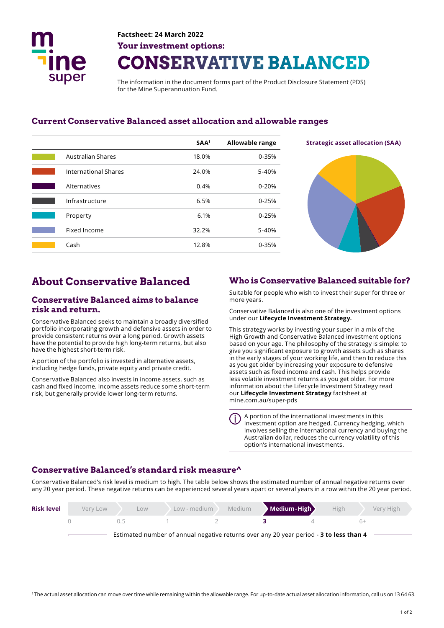

# **Factsheet: 24 March 2022 Your investment options: CONSERVATIVE BALANCED**

The information in the document forms part of the Product Disclosure Statement (PDS) for the Mine Superannuation Fund.

### **Current Conservative Balanced asset allocation and allowable ranges**

|                             | SAA <sup>1</sup> | <b>Allowable range</b> |
|-----------------------------|------------------|------------------------|
| <b>Australian Shares</b>    | 18.0%            | 0-35%                  |
| <b>International Shares</b> | 24.0%            | 5-40%                  |
| Alternatives                | 0.4%             | $0 - 20%$              |
| Infrastructure              | 6.5%             | $0 - 25%$              |
| Property                    | 6.1%             | $0 - 25%$              |
| Fixed Income                | 32.2%            | 5-40%                  |
| Cash                        | 12.8%            | 0-35%                  |



#### **Conservative Balanced aims to balance risk and return.**

Conservative Balanced seeks to maintain a broadly diversifed portfolio incorporating growth and defensive assets in order to provide consistent returns over a long period. Growth assets have the potential to provide high long-term returns, but also have the highest short-term risk.

A portion of the portfolio is invested in alternative assets, including hedge funds, private equity and private credit.

Conservative Balanced also invests in income assets, such as cash and fxed income. Income assets reduce some short-term risk, but generally provide lower long-term returns.

## **About Conservative Balanced Who is Conservative Balanced suitable for?**

Suitable for people who wish to invest their super for three or more years.

Conservative Balanced is also one of the investment options under our **Lifecycle Investment Strategy.** 

This strategy works by investing your super in a mix of the High Growth and Conservative Balanced investment options based on your age. The philosophy of the strategy is simple: to give you signifcant exposure to growth assets such as shares in the early stages of your working life, and then to reduce this as you get older by increasing your exposure to defensive assets such as fixed income and cash. This helps provide less volatile investment returns as you get older. For more information about the Lifecycle Investment Strategy read our **Lifecycle Investment Strategy** factsheet at mine.com.au/super-pds

A portion of the international investments in this investment option are hedged. Currency hedging, which involves selling the international currency and buying the Australian dollar, reduces the currency volatility of this option's international investments.

## **Conservative Balanced's standard risk measure^**

Conservative Balanced's risk level is medium to high. The table below shows the estimated number of annual negative returns over any 20 year period. These negative returns can be experienced several years apart or several years in a row within the 20 year period.

| <b>Risk level</b> | Very Low | LOW.                                                                                   | Low - medium | Medium | Medium-High | High | Very High |
|-------------------|----------|----------------------------------------------------------------------------------------|--------------|--------|-------------|------|-----------|
|                   |          | (1.5)                                                                                  |              |        |             |      |           |
|                   |          | Estimated number of annual negative returns over any 20 year period - 3 to less than 4 |              |        |             |      |           |